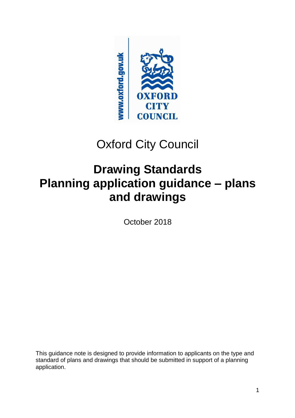

# Oxford City Council

# **Drawing Standards Planning application guidance – plans and drawings**

October 2018

This guidance note is designed to provide information to applicants on the type and standard of plans and drawings that should be submitted in support of a planning application.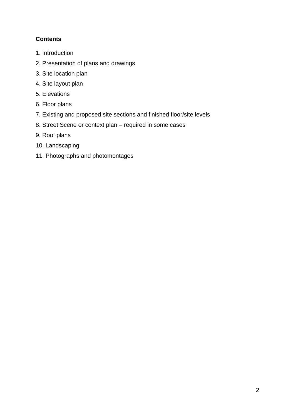# **Contents**

- 1. Introduction
- 2. Presentation of plans and drawings
- 3. Site location plan
- 4. Site layout plan
- 5. Elevations
- 6. Floor plans
- 7. Existing and proposed site sections and finished floor/site levels
- 8. Street Scene or context plan required in some cases
- 9. Roof plans
- 10. Landscaping
- 11. Photographs and photomontages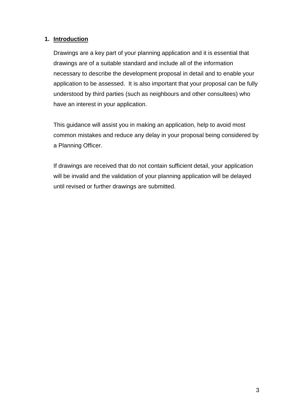#### **1. Introduction**

Drawings are a key part of your planning application and it is essential that drawings are of a suitable standard and include all of the information necessary to describe the development proposal in detail and to enable your application to be assessed. It is also important that your proposal can be fully understood by third parties (such as neighbours and other consultees) who have an interest in your application.

This guidance will assist you in making an application, help to avoid most common mistakes and reduce any delay in your proposal being considered by a Planning Officer.

If drawings are received that do not contain sufficient detail, your application will be invalid and the validation of your planning application will be delayed until revised or further drawings are submitted.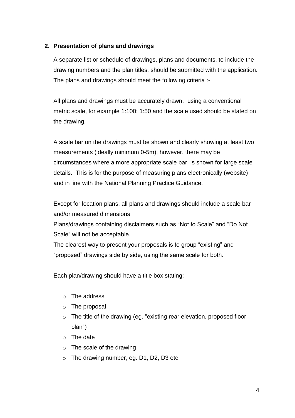### **2. Presentation of plans and drawings**

A separate list or schedule of drawings, plans and documents, to include the drawing numbers and the plan titles, should be submitted with the application. The plans and drawings should meet the following criteria :-

All plans and drawings must be accurately drawn, using a conventional metric scale, for example 1:100; 1:50 and the scale used should be stated on the drawing.

A scale bar on the drawings must be shown and clearly showing at least two measurements (ideally minimum 0-5m), however, there may be circumstances where a more appropriate scale bar is shown for large scale details. This is for the purpose of measuring plans electronically (website) and in line with the National Planning Practice Guidance.

Except for location plans, all plans and drawings should include a scale bar and/or measured dimensions.

Plans/drawings containing disclaimers such as "Not to Scale" and "Do Not Scale" will not be acceptable.

The clearest way to present your proposals is to group "existing" and "proposed" drawings side by side, using the same scale for both.

Each plan/drawing should have a title box stating:

- o The address
- o The proposal
- o The title of the drawing (eg. "existing rear elevation, proposed floor plan")
- o The date
- o The scale of the drawing
- o The drawing number, eg. D1, D2, D3 etc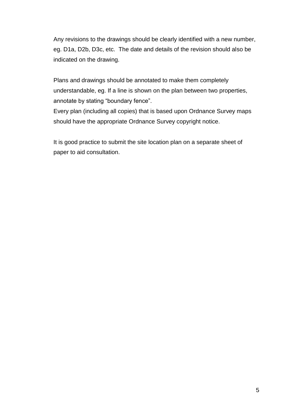Any revisions to the drawings should be clearly identified with a new number, eg. D1a, D2b, D3c, etc. The date and details of the revision should also be indicated on the drawing.

Plans and drawings should be annotated to make them completely understandable, eg. If a line is shown on the plan between two properties, annotate by stating "boundary fence".

Every plan (including all copies) that is based upon Ordnance Survey maps should have the appropriate Ordnance Survey copyright notice.

It is good practice to submit the site location plan on a separate sheet of paper to aid consultation.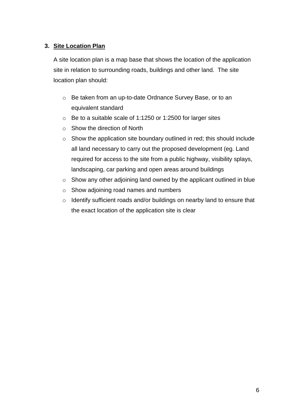#### **3. Site Location Plan**

A site location plan is a map base that shows the location of the application site in relation to surrounding roads, buildings and other land. The site location plan should:

- o Be taken from an up-to-date Ordnance Survey Base, or to an equivalent standard
- o Be to a suitable scale of 1:1250 or 1:2500 for larger sites
- o Show the direction of North
- o Show the application site boundary outlined in red; this should include all land necessary to carry out the proposed development (eg. Land required for access to the site from a public highway, visibility splays, landscaping, car parking and open areas around buildings
- o Show any other adjoining land owned by the applicant outlined in blue
- o Show adjoining road names and numbers
- o Identify sufficient roads and/or buildings on nearby land to ensure that the exact location of the application site is clear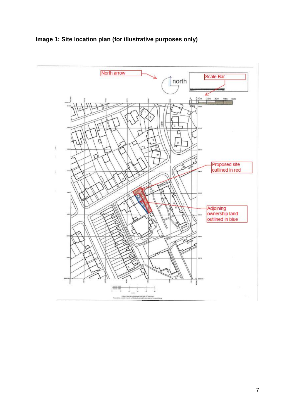

# **Image 1: Site location plan (for illustrative purposes only)**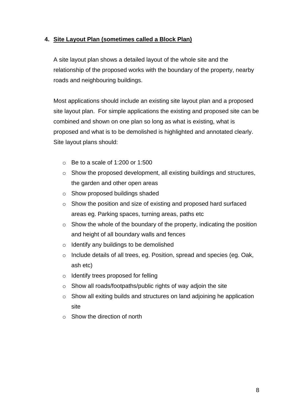# **4. Site Layout Plan (sometimes called a Block Plan)**

A site layout plan shows a detailed layout of the whole site and the relationship of the proposed works with the boundary of the property, nearby roads and neighbouring buildings.

Most applications should include an existing site layout plan and a proposed site layout plan. For simple applications the existing and proposed site can be combined and shown on one plan so long as what is existing, what is proposed and what is to be demolished is highlighted and annotated clearly. Site layout plans should:

- $\circ$  Be to a scale of 1:200 or 1:500
- o Show the proposed development, all existing buildings and structures, the garden and other open areas
- o Show proposed buildings shaded
- o Show the position and size of existing and proposed hard surfaced areas eg. Parking spaces, turning areas, paths etc
- $\circ$  Show the whole of the boundary of the property, indicating the position and height of all boundary walls and fences
- o Identify any buildings to be demolished
- o Include details of all trees, eg. Position, spread and species (eg. Oak, ash etc)
- o Identify trees proposed for felling
- o Show all roads/footpaths/public rights of way adjoin the site
- o Show all exiting builds and structures on land adjoining he application site
- $\circ$  Show the direction of north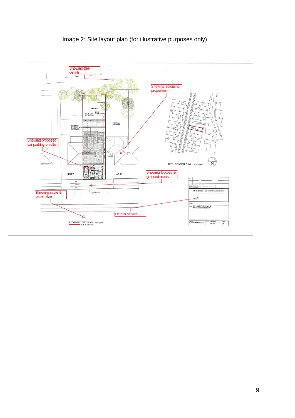

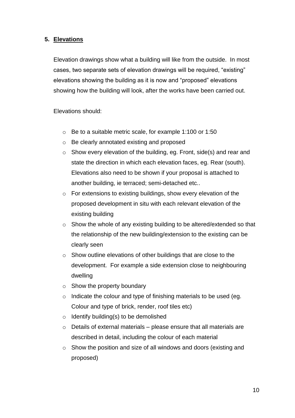#### **5. Elevations**

Elevation drawings show what a building will like from the outside. In most cases, two separate sets of elevation drawings will be required, "existing" elevations showing the building as it is now and "proposed" elevations showing how the building will look, after the works have been carried out.

Elevations should:

- o Be to a suitable metric scale, for example 1:100 or 1:50
- o Be clearly annotated existing and proposed
- o Show every elevation of the building, eg. Front, side(s) and rear and state the direction in which each elevation faces, eg. Rear (south). Elevations also need to be shown if your proposal is attached to another building, ie terraced; semi-detached etc..
- o For extensions to existing buildings, show every elevation of the proposed development in situ with each relevant elevation of the existing building
- o Show the whole of any existing building to be altered/extended so that the relationship of the new building/extension to the existing can be clearly seen
- o Show outline elevations of other buildings that are close to the development. For example a side extension close to neighbouring dwelling
- $\circ$  Show the property boundary
- o Indicate the colour and type of finishing materials to be used (eg. Colour and type of brick, render, roof tiles etc)
- $\circ$  Identify building(s) to be demolished
- $\circ$  Details of external materials please ensure that all materials are described in detail, including the colour of each material
- o Show the position and size of all windows and doors (existing and proposed)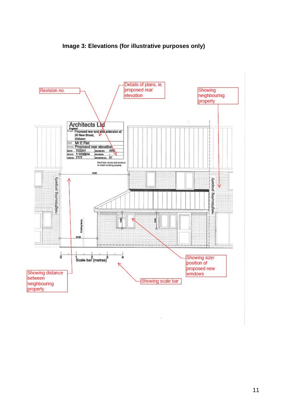

 $\frac{1}{2}$ 

**Image 3: Elevations (for illustrative purposes only)**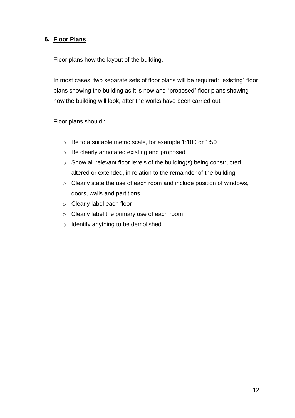#### **6. Floor Plans**

Floor plans how the layout of the building.

In most cases, two separate sets of floor plans will be required: "existing" floor plans showing the building as it is now and "proposed" floor plans showing how the building will look, after the works have been carried out.

Floor plans should :

- o Be to a suitable metric scale, for example 1:100 or 1:50
- o Be clearly annotated existing and proposed
- o Show all relevant floor levels of the building(s) being constructed, altered or extended, in relation to the remainder of the building
- o Clearly state the use of each room and include position of windows, doors, walls and partitions
- o Clearly label each floor
- o Clearly label the primary use of each room
- o Identify anything to be demolished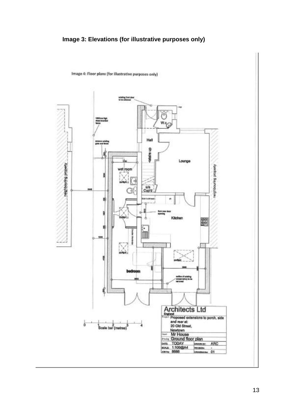# **Image 3: Elevations (for illustrative purposes only)**



Image 4: Floor plans (for illustrative purposes only)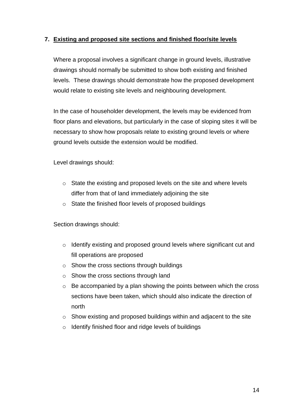#### **7. Existing and proposed site sections and finished floor/site levels**

Where a proposal involves a significant change in ground levels, illustrative drawings should normally be submitted to show both existing and finished levels. These drawings should demonstrate how the proposed development would relate to existing site levels and neighbouring development.

In the case of householder development, the levels may be evidenced from floor plans and elevations, but particularly in the case of sloping sites it will be necessary to show how proposals relate to existing ground levels or where ground levels outside the extension would be modified.

Level drawings should:

- o State the existing and proposed levels on the site and where levels differ from that of land immediately adjoining the site
- o State the finished floor levels of proposed buildings

Section drawings should:

- o Identify existing and proposed ground levels where significant cut and fill operations are proposed
- o Show the cross sections through buildings
- o Show the cross sections through land
- $\circ$  Be accompanied by a plan showing the points between which the cross sections have been taken, which should also indicate the direction of north
- o Show existing and proposed buildings within and adjacent to the site
- o Identify finished floor and ridge levels of buildings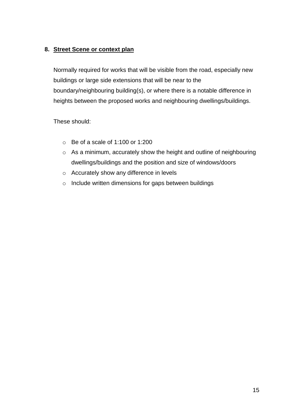## **8. Street Scene or context plan**

Normally required for works that will be visible from the road, especially new buildings or large side extensions that will be near to the boundary/neighbouring building(s), or where there is a notable difference in heights between the proposed works and neighbouring dwellings/buildings.

These should:

- $\circ$  Be of a scale of 1:100 or 1:200
- o As a minimum, accurately show the height and outline of neighbouring dwellings/buildings and the position and size of windows/doors
- o Accurately show any difference in levels
- o Include written dimensions for gaps between buildings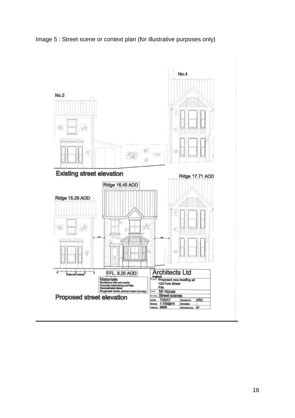

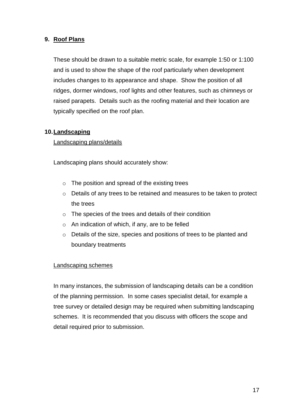#### **9. Roof Plans**

These should be drawn to a suitable metric scale, for example 1:50 or 1:100 and is used to show the shape of the roof particularly when development includes changes to its appearance and shape. Show the position of all ridges, dormer windows, roof lights and other features, such as chimneys or raised parapets. Details such as the roofing material and their location are typically specified on the roof plan.

#### **10.Landscaping**

#### Landscaping plans/details

Landscaping plans should accurately show:

- $\circ$  The position and spread of the existing trees
- o Details of any trees to be retained and measures to be taken to protect the trees
- o The species of the trees and details of their condition
- $\circ$  An indication of which, if any, are to be felled
- o Details of the size, species and positions of trees to be planted and boundary treatments

#### Landscaping schemes

In many instances, the submission of landscaping details can be a condition of the planning permission. In some cases specialist detail, for example a tree survey or detailed design may be required when submitting landscaping schemes. It is recommended that you discuss with officers the scope and detail required prior to submission.